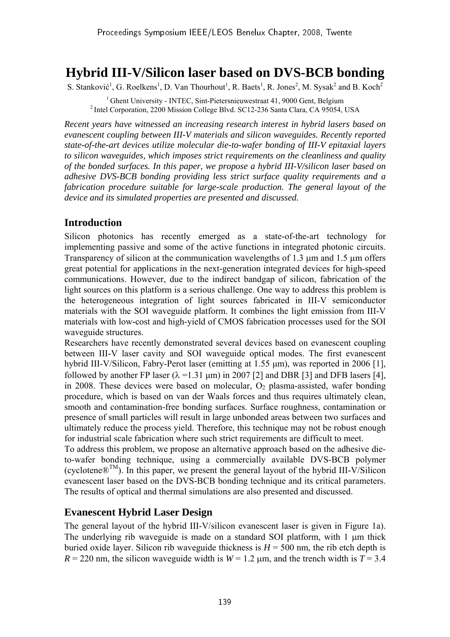# **Hybrid III-V/Silicon laser based on DVS-BCB bonding**

S. Stanković<sup>1</sup>, G. Roelkens<sup>1</sup>, D. Van Thourhout<sup>1</sup>, R. Baets<sup>1</sup>, R. Jones<sup>2</sup>, M. Sysak<sup>2</sup> and B. Koch<sup>2</sup>

<sup>1</sup> Ghent University - INTEC, Sint-Pietersnieuwestraat 41, 9000 Gent, Belgium <sup>2</sup> Intel Corporation, 2200 Mission College Blvd. SC12-236 Santa Clara, CA 95054, USA

*Recent years have witnessed an increasing research interest in hybrid lasers based on evanescent coupling between III-V materials and silicon waveguides. Recently reported state-of-the-art devices utilize molecular die-to-wafer bonding of III-V epitaxial layers to silicon waveguides, which imposes strict requirements on the cleanliness and quality of the bonded surfaces. In this paper, we propose a hybrid III-V/silicon laser based on adhesive DVS-BCB bonding providing less strict surface quality requirements and a fabrication procedure suitable for large-scale production. The general layout of the device and its simulated properties are presented and discussed.* 

## **Introduction**

Silicon photonics has recently emerged as a state-of-the-art technology for implementing passive and some of the active functions in integrated photonic circuits. Transparency of silicon at the communication wavelengths of 1.3 µm and 1.5 µm offers great potential for applications in the next-generation integrated devices for high-speed communications. However, due to the indirect bandgap of silicon, fabrication of the light sources on this platform is a serious challenge. One way to address this problem is the heterogeneous integration of light sources fabricated in III-V semiconductor materials with the SOI waveguide platform. It combines the light emission from III-V materials with low-cost and high-yield of CMOS fabrication processes used for the SOI waveguide structures.

Researchers have recently demonstrated several devices based on evanescent coupling between III-V laser cavity and SOI waveguide optical modes. The first evanescent hybrid III-V/Silicon, Fabry-Perot laser (emitting at 1.55 µm), was reported in 2006 [1], followed by another FP laser ( $\lambda$  =1.31 µm) in 2007 [2] and DBR [3] and DFB lasers [4], in 2008. These devices were based on molecular,  $O<sub>2</sub>$  plasma-assisted, wafer bonding procedure, which is based on van der Waals forces and thus requires ultimately clean, smooth and contamination-free bonding surfaces. Surface roughness, contamination or presence of small particles will result in large unbonded areas between two surfaces and ultimately reduce the process yield. Therefore, this technique may not be robust enough for industrial scale fabrication where such strict requirements are difficult to meet.

To address this problem, we propose an alternative approach based on the adhesive dieto-wafer bonding technique, using a commercially available DVS-BCB polymer (cyclotene $\mathbb{R}^{TM}$ ). In this paper, we present the general layout of the hybrid III-V/Silicon evanescent laser based on the DVS-BCB bonding technique and its critical parameters. The results of optical and thermal simulations are also presented and discussed.

## **Evanescent Hybrid Laser Design**

The general layout of the hybrid III-V/silicon evanescent laser is given in Figure 1a). The underlying rib waveguide is made on a standard SOI platform, with 1  $\mu$ m thick buried oxide layer. Silicon rib waveguide thickness is  $H = 500$  nm, the rib etch depth is  $R = 220$  nm, the silicon waveguide width is  $W = 1.2$  µm, and the trench width is  $T = 3.4$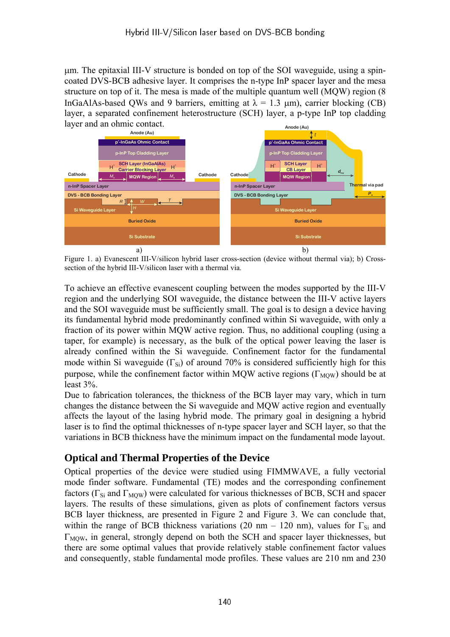µm. The epitaxial III-V structure is bonded on top of the SOI waveguide, using a spincoated DVS-BCB adhesive layer. It comprises the n-type InP spacer layer and the mesa structure on top of it. The mesa is made of the multiple quantum well (MQW) region (8 InGaAlAs-based QWs and 9 barriers, emitting at  $\lambda = 1.3 \mu m$ ), carrier blocking (CB) layer, a separated confinement heterostructure (SCH) layer, a p-type InP top cladding layer and an ohmic contact. **Anode (Au)**



Figure 1. a) Evanescent III-V/silicon hybrid laser cross-section (device without thermal via); b) Crosssection of the hybrid III-V/silicon laser with a thermal via.

To achieve an effective evanescent coupling between the modes supported by the III-V region and the underlying SOI waveguide, the distance between the III-V active layers and the SOI waveguide must be sufficiently small. The goal is to design a device having its fundamental hybrid mode predominantly confined within Si waveguide, with only a fraction of its power within MQW active region. Thus, no additional coupling (using a taper, for example) is necessary, as the bulk of the optical power leaving the laser is already confined within the Si waveguide. Confinement factor for the fundamental mode within Si waveguide ( $\Gamma_{\text{Si}}$ ) of around 70% is considered sufficiently high for this purpose, while the confinement factor within MQW active regions ( $\Gamma_{\text{MOW}}$ ) should be at least 3%.

Due to fabrication tolerances, the thickness of the BCB layer may vary, which in turn changes the distance between the Si waveguide and MQW active region and eventually affects the layout of the lasing hybrid mode. The primary goal in designing a hybrid laser is to find the optimal thicknesses of n-type spacer layer and SCH layer, so that the variations in BCB thickness have the minimum impact on the fundamental mode layout.

### **Optical and Thermal Properties of the Device**

Optical properties of the device were studied using FIMMWAVE, a fully vectorial mode finder software. Fundamental (TE) modes and the corresponding confinement factors ( $\Gamma_{\text{Si}}$  and  $\Gamma_{\text{MOW}}$ ) were calculated for various thicknesses of BCB, SCH and spacer layers. The results of these simulations, given as plots of confinement factors versus BCB layer thickness, are presented in Figure 2 and Figure 3. We can conclude that, within the range of BCB thickness variations (20 nm – 120 nm), values for  $\Gamma_{Si}$  and  $\Gamma_{\text{MOW}}$ , in general, strongly depend on both the SCH and spacer layer thicknesses, but there are some optimal values that provide relatively stable confinement factor values and consequently, stable fundamental mode profiles. These values are 210 nm and 230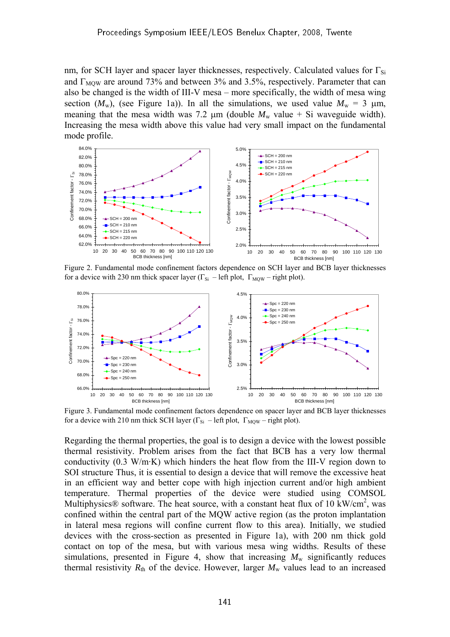nm, for SCH layer and spacer layer thicknesses, respectively. Calculated values for  $\Gamma_{\rm Si}$ and  $\Gamma_{\text{MOW}}$  are around 73% and between 3% and 3.5%, respectively. Parameter that can also be changed is the width of III-V mesa – more specifically, the width of mesa wing section  $(M_w)$ , (see Figure 1a)). In all the simulations, we used value  $M_w = 3 \mu m$ , meaning that the mesa width was 7.2  $\mu$ m (double  $M_w$  value + Si waveguide width). Increasing the mesa width above this value had very small impact on the fundamental mode profile.



Figure 2. Fundamental mode confinement factors dependence on SCH layer and BCB layer thicknesses for a device with 230 nm thick spacer layer ( $\Gamma_{Si}$  – left plot,  $\Gamma_{MOW}$  – right plot).



Figure 3. Fundamental mode confinement factors dependence on spacer layer and BCB layer thicknesses for a device with 210 nm thick SCH layer ( $\Gamma_{Si}$  – left plot,  $\Gamma_{MOW}$  – right plot).

Regarding the thermal properties, the goal is to design a device with the lowest possible thermal resistivity. Problem arises from the fact that BCB has a very low thermal conductivity (0.3 W/m·K) which hinders the heat flow from the III-V region down to SOI structure Thus, it is essential to design a device that will remove the excessive heat in an efficient way and better cope with high injection current and/or high ambient temperature. Thermal properties of the device were studied using COMSOL Multiphysics® software. The heat source, with a constant heat flux of 10 kW/cm<sup>2</sup>, was confined within the central part of the MQW active region (as the proton implantation in lateral mesa regions will confine current flow to this area). Initially, we studied devices with the cross-section as presented in Figure 1a), with 200 nm thick gold contact on top of the mesa, but with various mesa wing widths. Results of these simulations, presented in Figure 4, show that increasing  $M_w$  significantly reduces thermal resistivity  $R_{th}$  of the device. However, larger  $M_w$  values lead to an increased